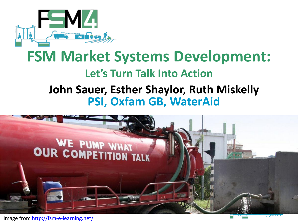

## **FSM Market Systems Development: Let's Turn Talk Into Action John Sauer, Esther Shaylor, Ruth Miskelly PSI, Oxfam GB, WaterAid**



Image from<http://fsm-e-learning.net/>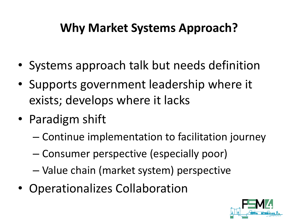### **Why Market Systems Approach?**

- Systems approach talk but needs definition
- Supports government leadership where it exists; develops where it lacks
- Paradigm shift
	- Continue implementation to facilitation journey
	- Consumer perspective (especially poor)
	- Value chain (market system) perspective
- Operationalizes Collaboration

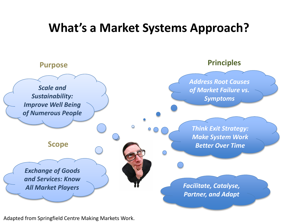#### **What's a Market Systems Approach?**



Adapted from Springfield Centre Making Markets Work.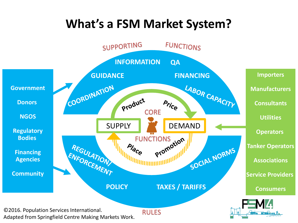### **What's a FSM Market System?**

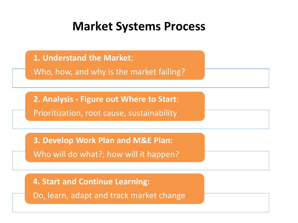#### **Market Systems Process**

**1. Understand the Market**:

Who, how, and why is the market failing?

**2. Analysis - Figure out Where to Start**:

Prioritization, root cause, sustainability

**3. Develop Work Plan and M&E Plan:** 

Who will do what?; how will it happen?

**4. Start and Continue Learning:**

Do, learn, adapt and track market change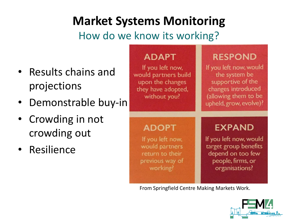## **Market Systems Monitoring**

How do we know its working?

- Results chains and projections
- Demonstrable buy-in
- Crowding in not crowding out
- Resilience



From Springfield Centre Making Markets Work.

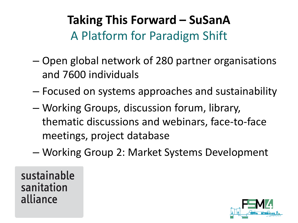# **Taking This Forward – SuSanA** A Platform for Paradigm Shift

- Open global network of 280 partner organisations and 7600 individuals
- Focused on systems approaches and sustainability
- Working Groups, discussion forum, library, thematic discussions and webinars, face-to-face meetings, project database
- Working Group 2: Market Systems Development

sustainable sanitation alliance

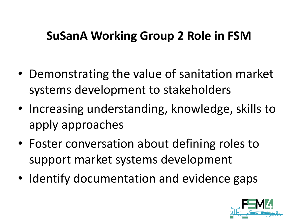#### **SuSanA Working Group 2 Role in FSM**

- Demonstrating the value of sanitation market systems development to stakeholders
- Increasing understanding, knowledge, skills to apply approaches
- Foster conversation about defining roles to support market systems development
- Identify documentation and evidence gaps

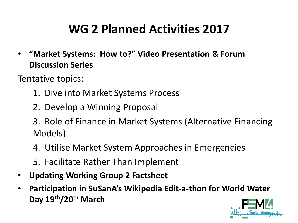## **WG 2 Planned Activities 2017**

• **"Market Systems: How to?" Video Presentation & Forum Discussion Series**

Tentative topics:

- 1. Dive into Market Systems Process
- 2. Develop a Winning Proposal
- 3. Role of Finance in Market Systems (Alternative Financing Models)
- 4. Utilise Market System Approaches in Emergencies
- 5. Facilitate Rather Than Implement
- **Updating Working Group 2 Factsheet**
- **Participation in SuSanA's Wikipedia Edit-a-thon for World Water Day 19th/20th March**

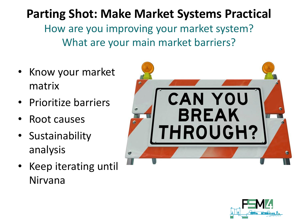**Parting Shot: Make Market Systems Practical** How are you improving your market system? What are your main market barriers?

- Know your market matrix
- Prioritize barriers
- Root causes
- Sustainability analysis
- Keep iterating until Nirvana